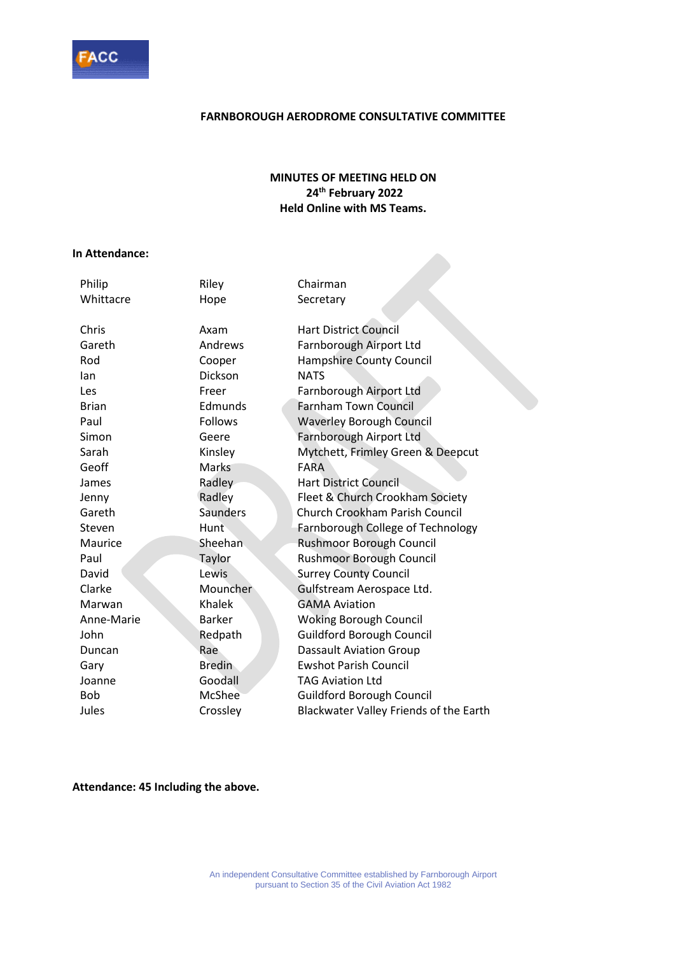

### **FARNBOROUGH AERODROME CONSULTATIVE COMMITTEE**

### **MINUTES OF MEETING HELD ON 24 th February 2022 Held Online with MS Teams.**

#### **In Attendance:**

| Philip       | Riley           | Chairman                               |
|--------------|-----------------|----------------------------------------|
| Whittacre    | Hope            | Secretary                              |
|              |                 |                                        |
| Chris        | Axam            | <b>Hart District Council</b>           |
| Gareth       | Andrews         | Farnborough Airport Ltd                |
| Rod          | Cooper          | <b>Hampshire County Council</b>        |
| lan          | <b>Dickson</b>  | <b>NATS</b>                            |
| Les          | Freer           | Farnborough Airport Ltd                |
| <b>Brian</b> | Edmunds         | <b>Farnham Town Council</b>            |
| Paul         | <b>Follows</b>  | <b>Waverley Borough Council</b>        |
| Simon        | Geere           | Farnborough Airport Ltd                |
| Sarah        | Kinsley         | Mytchett, Frimley Green & Deepcut      |
| Geoff        | <b>Marks</b>    | <b>FARA</b>                            |
| James        | Radley          | Hart District Council                  |
| Jenny        | Radley          | Fleet & Church Crookham Society        |
| Gareth       | <b>Saunders</b> | <b>Church Crookham Parish Council</b>  |
| Steven       | <b>Hunt</b>     | Farnborough College of Technology      |
| Maurice      | Sheehan         | Rushmoor Borough Council               |
| Paul         | Taylor          | <b>Rushmoor Borough Council</b>        |
| David        | Lewis           | <b>Surrey County Council</b>           |
| Clarke       | Mouncher        | Gulfstream Aerospace Ltd.              |
| Marwan       | Khalek          | <b>GAMA Aviation</b>                   |
| Anne-Marie   | <b>Barker</b>   | <b>Woking Borough Council</b>          |
| John         | Redpath         | <b>Guildford Borough Council</b>       |
| Duncan       | Rae             | <b>Dassault Aviation Group</b>         |
| Gary         | <b>Bredin</b>   | <b>Ewshot Parish Council</b>           |
| Joanne       | Goodall         | <b>TAG Aviation Ltd</b>                |
| <b>Bob</b>   | <b>McShee</b>   | <b>Guildford Borough Council</b>       |
| Jules        | Crossley        | Blackwater Valley Friends of the Earth |

**Attendance: 45 Including the above.**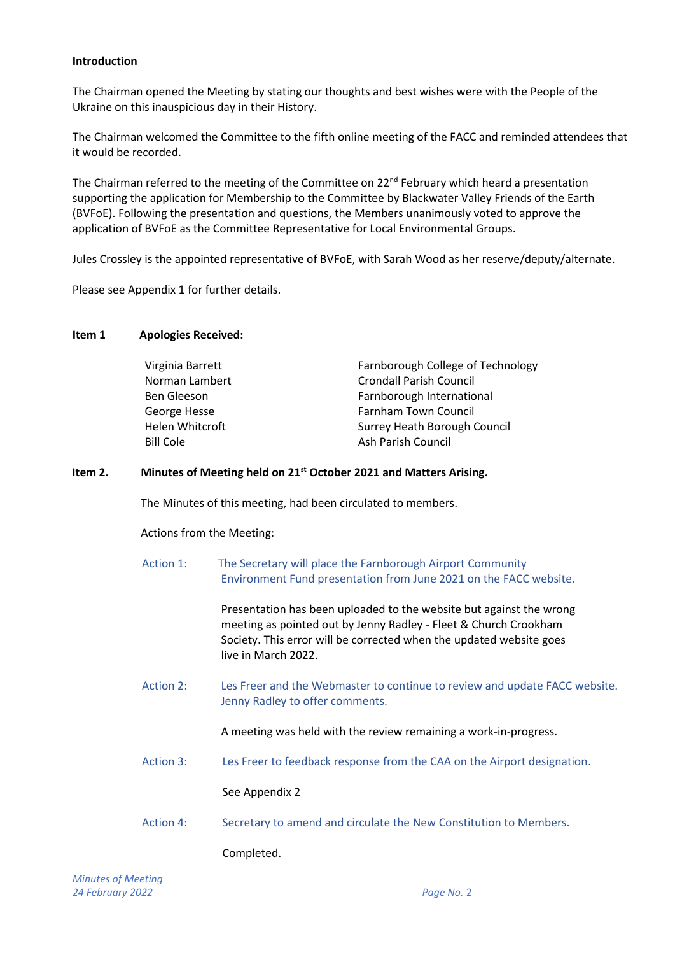### **Introduction**

The Chairman opened the Meeting by stating our thoughts and best wishes were with the People of the Ukraine on this inauspicious day in their History.

The Chairman welcomed the Committee to the fifth online meeting of the FACC and reminded attendees that it would be recorded.

The Chairman referred to the meeting of the Committee on 22<sup>nd</sup> February which heard a presentation supporting the application for Membership to the Committee by Blackwater Valley Friends of the Earth (BVFoE). Following the presentation and questions, the Members unanimously voted to approve the application of BVFoE as the Committee Representative for Local Environmental Groups.

Jules Crossley is the appointed representative of BVFoE, with Sarah Wood as her reserve/deputy/alternate.

Please see Appendix 1 for further details.

#### **Item 1 Apologies Received:**

| Farnborough College of Technology |
|-----------------------------------|
| <b>Crondall Parish Council</b>    |
| Farnborough International         |
| Farnham Town Council              |
| Surrey Heath Borough Council      |
| Ash Parish Council                |
|                                   |

### **Item 2. Minutes of Meeting held on 21st October 2021 and Matters Arising.**

The Minutes of this meeting, had been circulated to members.

Actions from the Meeting:

Action 1: The Secretary will place the Farnborough Airport Community Environment Fund presentation from June 2021 on the FACC website.

> Presentation has been uploaded to the website but against the wrong meeting as pointed out by Jenny Radley - Fleet & Church Crookham Society. This error will be corrected when the updated website goes live in March 2022.

Action 2: Les Freer and the Webmaster to continue to review and update FACC website. Jenny Radley to offer comments.

A meeting was held with the review remaining a work-in-progress.

Action 3: Les Freer to feedback response from the CAA on the Airport designation.

See Appendix 2

Action 4: Secretary to amend and circulate the New Constitution to Members.

Completed.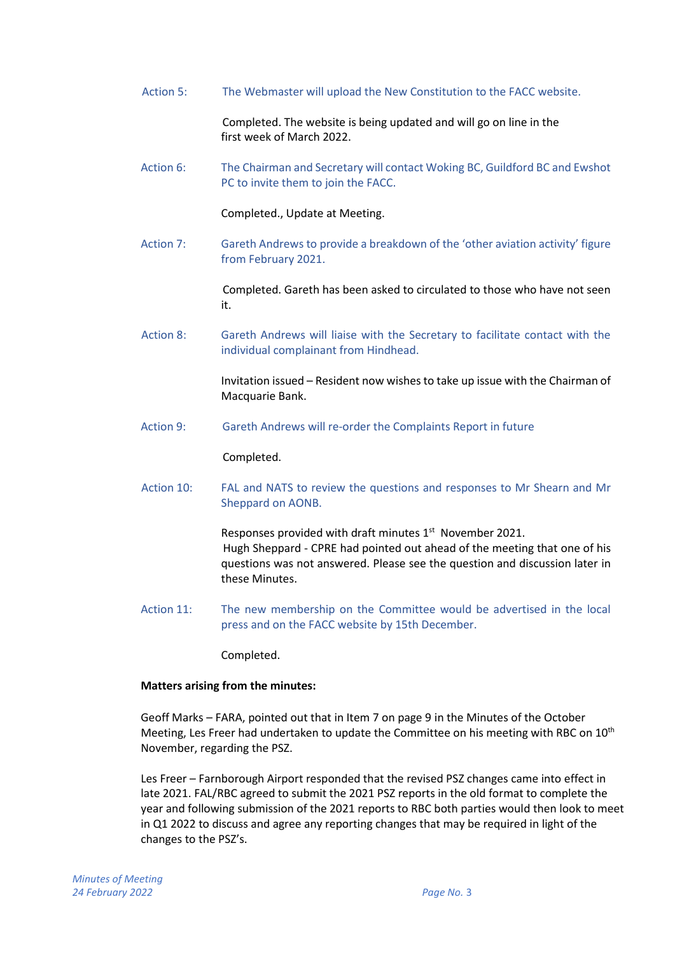Action 5: The Webmaster will upload the New Constitution to the FACC website.

Completed. The website is being updated and will go on line in the first week of March 2022.

Action 6: The Chairman and Secretary will contact Woking BC, Guildford BC and Ewshot PC to invite them to join the FACC.

Completed., Update at Meeting.

Action 7: Gareth Andrews to provide a breakdown of the 'other aviation activity' figure from February 2021.

> Completed. Gareth has been asked to circulated to those who have not seen it.

 Action 8: Gareth Andrews will liaise with the Secretary to facilitate contact with the individual complainant from Hindhead.

> Invitation issued – Resident now wishes to take up issue with the Chairman of Macquarie Bank.

Action 9: Gareth Andrews will re-order the Complaints Report in future

Completed.

Action 10: FAL and NATS to review the questions and responses to Mr Shearn and Mr Sheppard on AONB.

> Responses provided with draft minutes  $1<sup>st</sup>$  November 2021. Hugh Sheppard - CPRE had pointed out ahead of the meeting that one of his questions was not answered. Please see the question and discussion later in these Minutes.

Action 11: The new membership on the Committee would be advertised in the local press and on the FACC website by 15th December.

Completed.

### **Matters arising from the minutes:**

Geoff Marks – FARA, pointed out that in Item 7 on page 9 in the Minutes of the October Meeting, Les Freer had undertaken to update the Committee on his meeting with RBC on  $10<sup>th</sup>$ November, regarding the PSZ.

Les Freer – Farnborough Airport responded that the revised PSZ changes came into effect in late 2021. FAL/RBC agreed to submit the 2021 PSZ reports in the old format to complete the year and following submission of the 2021 reports to RBC both parties would then look to meet in Q1 2022 to discuss and agree any reporting changes that may be required in light of the changes to the PSZ's.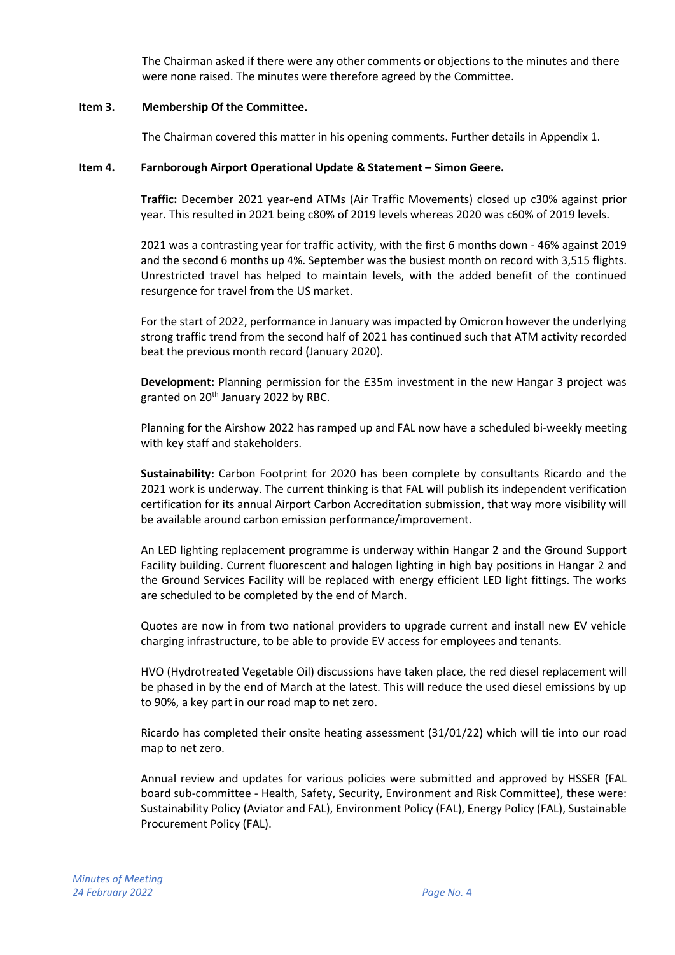The Chairman asked if there were any other comments or objections to the minutes and there were none raised. The minutes were therefore agreed by the Committee.

#### **Item 3. Membership Of the Committee.**

The Chairman covered this matter in his opening comments. Further details in Appendix 1.

#### **Item 4. Farnborough Airport Operational Update & Statement – Simon Geere.**

**Traffic:** December 2021 year-end ATMs (Air Traffic Movements) closed up c30% against prior year. This resulted in 2021 being c80% of 2019 levels whereas 2020 was c60% of 2019 levels.

2021 was a contrasting year for traffic activity, with the first 6 months down - 46% against 2019 and the second 6 months up 4%. September was the busiest month on record with 3,515 flights. Unrestricted travel has helped to maintain levels, with the added benefit of the continued resurgence for travel from the US market.

For the start of 2022, performance in January was impacted by Omicron however the underlying strong traffic trend from the second half of 2021 has continued such that ATM activity recorded beat the previous month record (January 2020).

**Development:** Planning permission for the £35m investment in the new Hangar 3 project was granted on 20<sup>th</sup> January 2022 by RBC.

Planning for the Airshow 2022 has ramped up and FAL now have a scheduled bi-weekly meeting with key staff and stakeholders.

**Sustainability:** Carbon Footprint for 2020 has been complete by consultants Ricardo and the 2021 work is underway. The current thinking is that FAL will publish its independent verification certification for its annual Airport Carbon Accreditation submission, that way more visibility will be available around carbon emission performance/improvement.

An LED lighting replacement programme is underway within Hangar 2 and the Ground Support Facility building. Current fluorescent and halogen lighting in high bay positions in Hangar 2 and the Ground Services Facility will be replaced with energy efficient LED light fittings. The works are scheduled to be completed by the end of March.

Quotes are now in from two national providers to upgrade current and install new EV vehicle charging infrastructure, to be able to provide EV access for employees and tenants.

HVO (Hydrotreated Vegetable Oil) discussions have taken place, the red diesel replacement will be phased in by the end of March at the latest. This will reduce the used diesel emissions by up to 90%, a key part in our road map to net zero.

Ricardo has completed their onsite heating assessment (31/01/22) which will tie into our road map to net zero.

Annual review and updates for various policies were submitted and approved by HSSER (FAL board sub-committee - Health, Safety, Security, Environment and Risk Committee), these were: Sustainability Policy (Aviator and FAL), Environment Policy (FAL), Energy Policy (FAL), Sustainable Procurement Policy (FAL).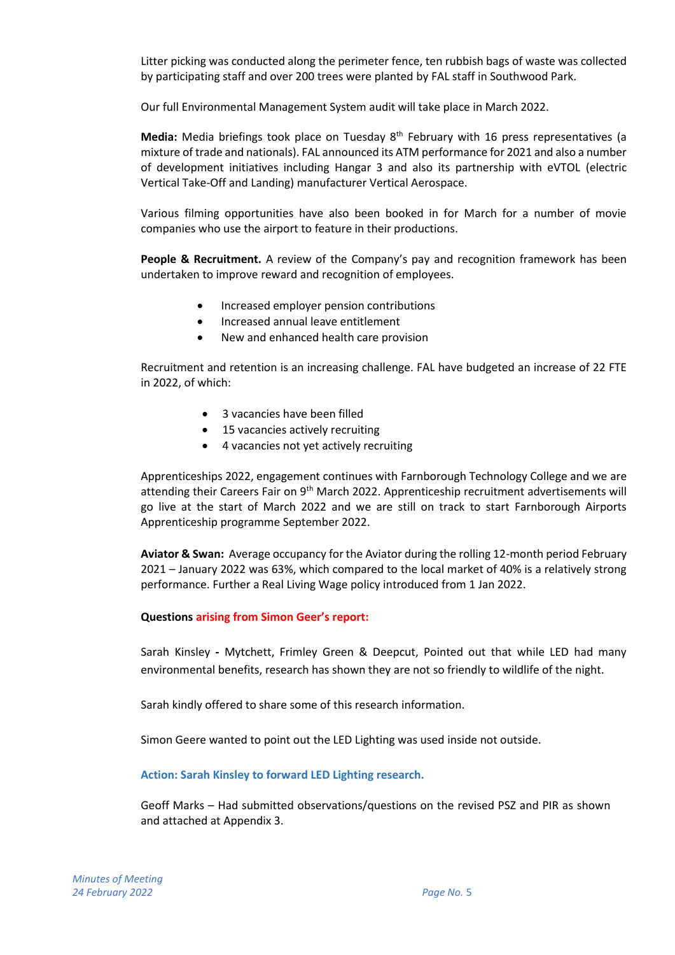Litter picking was conducted along the perimeter fence, ten rubbish bags of waste was collected by participating staff and over 200 trees were planted by FAL staff in Southwood Park.

Our full Environmental Management System audit will take place in March 2022.

**Media:** Media briefings took place on Tuesday 8th February with 16 press representatives (a mixture of trade and nationals). FAL announced its ATM performance for 2021 and also a number of development initiatives including Hangar 3 and also its partnership with eVTOL (electric Vertical Take-Off and Landing) manufacturer Vertical Aerospace.

Various filming opportunities have also been booked in for March for a number of movie companies who use the airport to feature in their productions.

People & Recruitment. A review of the Company's pay and recognition framework has been undertaken to improve reward and recognition of employees.

- Increased employer pension contributions
- Increased annual leave entitlement
- New and enhanced health care provision

Recruitment and retention is an increasing challenge. FAL have budgeted an increase of 22 FTE in 2022, of which:

- 3 vacancies have been filled
- 15 vacancies actively recruiting
- 4 vacancies not yet actively recruiting

Apprenticeships 2022, engagement continues with Farnborough Technology College and we are attending their Careers Fair on 9<sup>th</sup> March 2022. Apprenticeship recruitment advertisements will go live at the start of March 2022 and we are still on track to start Farnborough Airports Apprenticeship programme September 2022.

**Aviator & Swan:** Average occupancy for the Aviator during the rolling 12-month period February 2021 – January 2022 was 63%, which compared to the local market of 40% is a relatively strong performance. Further a Real Living Wage policy introduced from 1 Jan 2022.

### **Questions arising from Simon Geer's report:**

Sarah Kinsley **-** Mytchett, Frimley Green & Deepcut, Pointed out that while LED had many environmental benefits, research has shown they are not so friendly to wildlife of the night.

Sarah kindly offered to share some of this research information.

Simon Geere wanted to point out the LED Lighting was used inside not outside.

### **Action: Sarah Kinsley to forward LED Lighting research.**

Geoff Marks – Had submitted observations/questions on the revised PSZ and PIR as shown and attached at Appendix 3.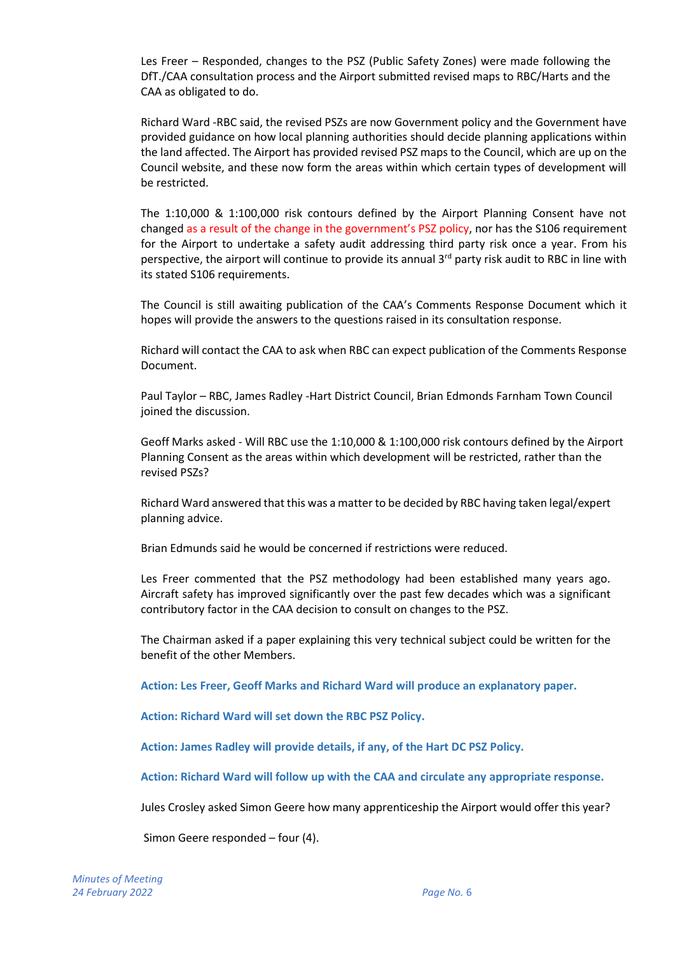Les Freer – Responded, changes to the PSZ (Public Safety Zones) were made following the DfT./CAA consultation process and the Airport submitted revised maps to RBC/Harts and the CAA as obligated to do.

Richard Ward -RBC said, the revised PSZs are now Government policy and the Government have provided guidance on how local planning authorities should decide planning applications within the land affected. The Airport has provided revised PSZ maps to the Council, which are up on the Council website, and these now form the areas within which certain types of development will be restricted.

The 1:10,000 & 1:100,000 risk contours defined by the Airport Planning Consent have not changed as a result of the change in the government's PSZ policy, nor has the S106 requirement for the Airport to undertake a safety audit addressing third party risk once a year. From his perspective, the airport will continue to provide its annual 3<sup>rd</sup> party risk audit to RBC in line with its stated S106 requirements.

The Council is still awaiting publication of the CAA's Comments Response Document which it hopes will provide the answers to the questions raised in its consultation response.

Richard will contact the CAA to ask when RBC can expect publication of the Comments Response Document.

Paul Taylor – RBC, James Radley -Hart District Council, Brian Edmonds Farnham Town Council joined the discussion.

Geoff Marks asked - Will RBC use the 1:10,000 & 1:100,000 risk contours defined by the Airport Planning Consent as the areas within which development will be restricted, rather than the revised PSZs?

Richard Ward answered that this was a matter to be decided by RBC having taken legal/expert planning advice.

Brian Edmunds said he would be concerned if restrictions were reduced.

Les Freer commented that the PSZ methodology had been established many years ago. Aircraft safety has improved significantly over the past few decades which was a significant contributory factor in the CAA decision to consult on changes to the PSZ.

The Chairman asked if a paper explaining this very technical subject could be written for the benefit of the other Members.

**Action: Les Freer, Geoff Marks and Richard Ward will produce an explanatory paper.**

**Action: Richard Ward will set down the RBC PSZ Policy.**

**Action: James Radley will provide details, if any, of the Hart DC PSZ Policy.**

**Action: Richard Ward will follow up with the CAA and circulate any appropriate response.**

Jules Crosley asked Simon Geere how many apprenticeship the Airport would offer this year?

Simon Geere responded – four (4).

*Minutes of Meeting 24 February 2022 Page No.* 6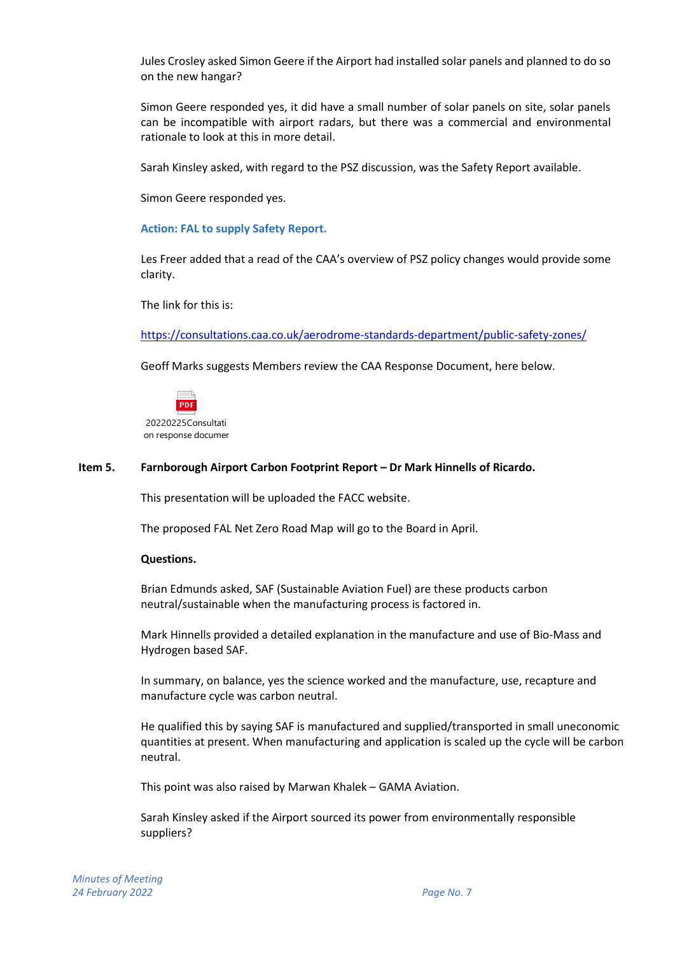Jules Crosley asked Simon Geere if the Airport had installed solar panels and planned to do so on the new hangar?

Simon Geere responded yes, it did have a small number of solar panels on site, solar panels can be incompatible with airport radars, but there was a commercial and environmental rationale to look at this in more detail.

Sarah Kinsley asked, with regard to the PSZ discussion, was the Safety Report available.

Simon Geere responded yes.

#### **Action: FAL to supply Safety Report.**

Les Freer added that a read of the CAA's overview of PSZ policy changes would provide some clarity.

The link for this is:

<https://consultations.caa.co.uk/aerodrome-standards-department/public-safety-zones/>

Geoff Marks suggests Members review the CAA Response Document, here below.



#### **Item 5. Farnborough Airport Carbon Footprint Report – Dr Mark Hinnells of Ricardo.**

This presentation will be uploaded the FACC website.

The proposed FAL Net Zero Road Map will go to the Board in April.

#### **Questions.**

Brian Edmunds asked, SAF (Sustainable Aviation Fuel) are these products carbon neutral/sustainable when the manufacturing process is factored in.

Mark Hinnells provided a detailed explanation in the manufacture and use of Bio-Mass and Hydrogen based SAF.

In summary, on balance, yes the science worked and the manufacture, use, recapture and manufacture cycle was carbon neutral.

He qualified this by saying SAF is manufactured and supplied/transported in small uneconomic quantities at present. When manufacturing and application is scaled up the cycle will be carbon neutral.

This point was also raised by Marwan Khalek – GAMA Aviation.

Sarah Kinsley asked if the Airport sourced its power from environmentally responsible suppliers?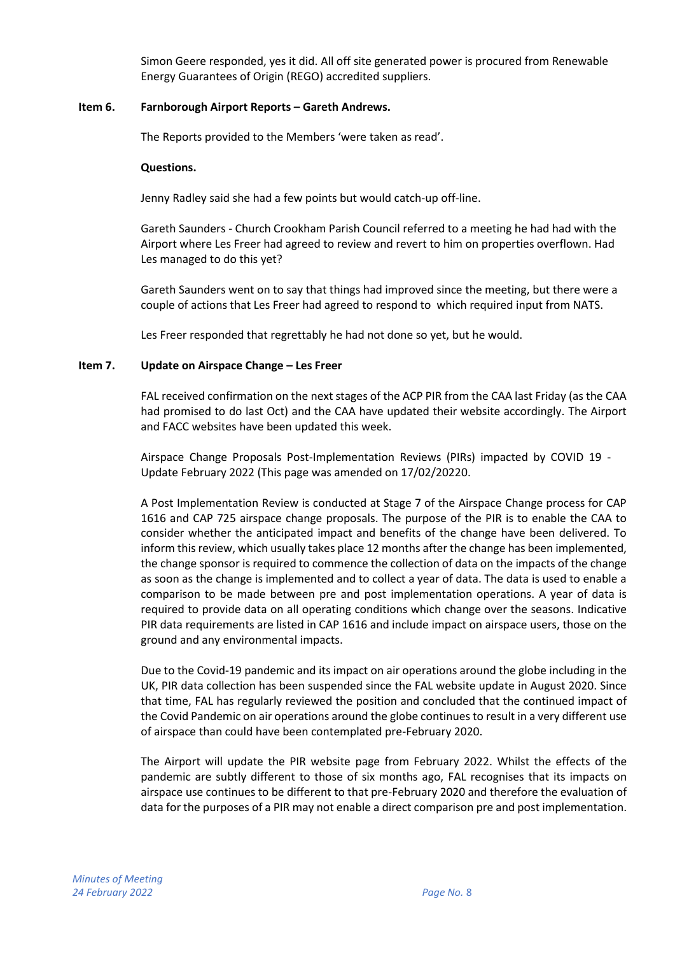Simon Geere responded, yes it did. All off site generated power is procured from Renewable Energy Guarantees of Origin (REGO) accredited suppliers.

#### **Item 6. Farnborough Airport Reports – Gareth Andrews.**

The Reports provided to the Members 'were taken as read'.

#### **Questions.**

Jenny Radley said she had a few points but would catch-up off-line.

Gareth Saunders - Church Crookham Parish Council referred to a meeting he had had with the Airport where Les Freer had agreed to review and revert to him on properties overflown. Had Les managed to do this yet?

Gareth Saunders went on to say that things had improved since the meeting, but there were a couple of actions that Les Freer had agreed to respond to which required input from NATS.

Les Freer responded that regrettably he had not done so yet, but he would.

### **Item 7.** Update on Airspace Change – Les Freer

FAL received confirmation on the next stages of the ACP PIR from the CAA last Friday (as the CAA had promised to do last Oct) and the CAA have updated their website accordingly. The Airport and FACC websites have been updated this week.

Airspace Change Proposals Post-Implementation Reviews (PIRs) impacted by COVID 19 - Update February 2022 (This page was amended on 17/02/20220.

A Post Implementation Review is conducted at Stage 7 of the Airspace Change process for CAP 1616 and CAP 725 airspace change proposals. The purpose of the PIR is to enable the CAA to consider whether the anticipated impact and benefits of the change have been delivered. To inform this review, which usually takes place 12 months after the change has been implemented, the change sponsor is required to commence the collection of data on the impacts of the change as soon as the change is implemented and to collect a year of data. The data is used to enable a comparison to be made between pre and post implementation operations. A year of data is required to provide data on all operating conditions which change over the seasons. Indicative PIR data requirements are listed in CAP 1616 and include impact on airspace users, those on the ground and any environmental impacts.

Due to the Covid-19 pandemic and its impact on air operations around the globe including in the UK, PIR data collection has been suspended since the FAL website update in August 2020. Since that time, FAL has regularly reviewed the position and concluded that the continued impact of the Covid Pandemic on air operations around the globe continues to result in a very different use of airspace than could have been contemplated pre-February 2020.

The Airport will update the PIR website page from February 2022. Whilst the effects of the pandemic are subtly different to those of six months ago, FAL recognises that its impacts on airspace use continues to be different to that pre-February 2020 and therefore the evaluation of data for the purposes of a PIR may not enable a direct comparison pre and post implementation.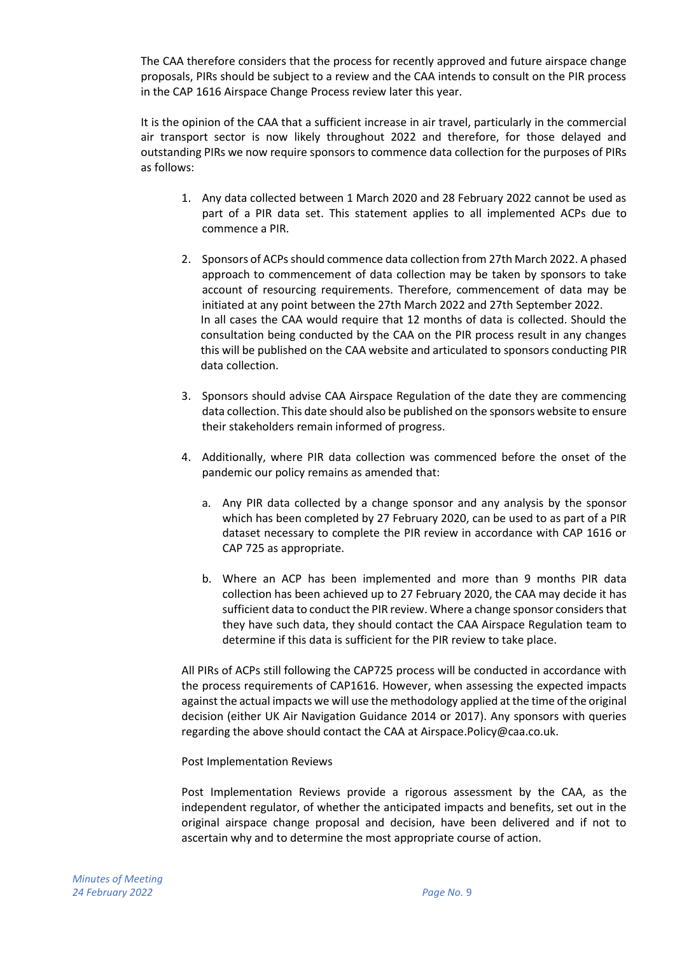The CAA therefore considers that the process for recently approved and future airspace change proposals, PIRs should be subject to a review and the CAA intends to consult on the PIR process in the CAP 1616 Airspace Change Process review later this year.

It is the opinion of the CAA that a sufficient increase in air travel, particularly in the commercial air transport sector is now likely throughout 2022 and therefore, for those delayed and outstanding PIRs we now require sponsors to commence data collection for the purposes of PIRs as follows:

- 1. Any data collected between 1 March 2020 and 28 February 2022 cannot be used as part of a PIR data set. This statement applies to all implemented ACPs due to commence a PIR.
- 2. Sponsors of ACPs should commence data collection from 27th March 2022. A phased approach to commencement of data collection may be taken by sponsors to take account of resourcing requirements. Therefore, commencement of data may be initiated at any point between the 27th March 2022 and 27th September 2022. In all cases the CAA would require that 12 months of data is collected. Should the consultation being conducted by the CAA on the PIR process result in any changes this will be published on the CAA website and articulated to sponsors conducting PIR data collection.
- 3. Sponsors should advise CAA Airspace Regulation of the date they are commencing data collection. This date should also be published on the sponsors website to ensure their stakeholders remain informed of progress.
- 4. Additionally, where PIR data collection was commenced before the onset of the pandemic our policy remains as amended that:
	- a. Any PIR data collected by a change sponsor and any analysis by the sponsor which has been completed by 27 February 2020, can be used to as part of a PIR dataset necessary to complete the PIR review in accordance with CAP 1616 or CAP 725 as appropriate.
	- b. Where an ACP has been implemented and more than 9 months PIR data collection has been achieved up to 27 February 2020, the CAA may decide it has sufficient data to conduct the PIR review. Where a change sponsor considers that they have such data, they should contact the CAA Airspace Regulation team to determine if this data is sufficient for the PIR review to take place.

All PIRs of ACPs still following the CAP725 process will be conducted in accordance with the process requirements of CAP1616. However, when assessing the expected impacts against the actual impacts we will use the methodology applied at the time of the original decision (either UK Air Navigation Guidance 2014 or 2017). Any sponsors with queries regarding the above should contact the CAA at Airspace.Policy@caa.co.uk.

Post Implementation Reviews

Post Implementation Reviews provide a rigorous assessment by the CAA, as the independent regulator, of whether the anticipated impacts and benefits, set out in the original airspace change proposal and decision, have been delivered and if not to ascertain why and to determine the most appropriate course of action.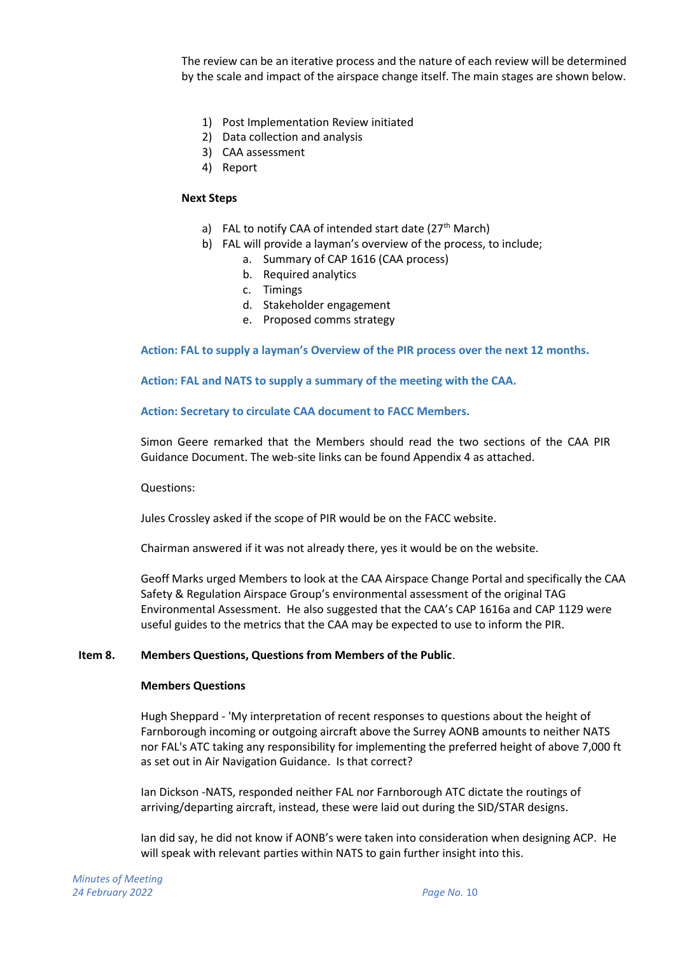The review can be an iterative process and the nature of each review will be determined by the scale and impact of the airspace change itself. The main stages are shown below.

- 1) Post Implementation Review initiated
- 2) Data collection and analysis
- 3) CAA assessment
- 4) Report

#### **Next Steps**

- a) FAL to notify CAA of intended start date  $(27<sup>th</sup> March)$
- b) FAL will provide a layman's overview of the process, to include;
	- a. Summary of CAP 1616 (CAA process)
		- b. Required analytics
	- c. Timings
	- d. Stakeholder engagement
	- e. Proposed comms strategy

**Action: FAL to supply a layman's Overview of the PIR process over the next 12 months.**

**Action: FAL and NATS to supply a summary of the meeting with the CAA.**

#### **Action: Secretary to circulate CAA document to FACC Members.**

Simon Geere remarked that the Members should read the two sections of the CAA PIR Guidance Document. The web-site links can be found Appendix 4 as attached.

Questions:

Jules Crossley asked if the scope of PIR would be on the FACC website.

Chairman answered if it was not already there, yes it would be on the website.

Geoff Marks urged Members to look at the CAA Airspace Change Portal and specifically the CAA Safety & Regulation Airspace Group's environmental assessment of the original TAG Environmental Assessment. He also suggested that the CAA's CAP 1616a and CAP 1129 were useful guides to the metrics that the CAA may be expected to use to inform the PIR.

### **Item 8. Members Questions, Questions from Members of the Public**.

#### **Members Questions**

Hugh Sheppard - 'My interpretation of recent responses to questions about the height of Farnborough incoming or outgoing aircraft above the Surrey AONB amounts to neither NATS nor FAL's ATC taking any responsibility for implementing the preferred height of above 7,000 ft as set out in Air Navigation Guidance. Is that correct?

Ian Dickson -NATS, responded neither FAL nor Farnborough ATC dictate the routings of arriving/departing aircraft, instead, these were laid out during the SID/STAR designs.

Ian did say, he did not know if AONB's were taken into consideration when designing ACP. He will speak with relevant parties within NATS to gain further insight into this.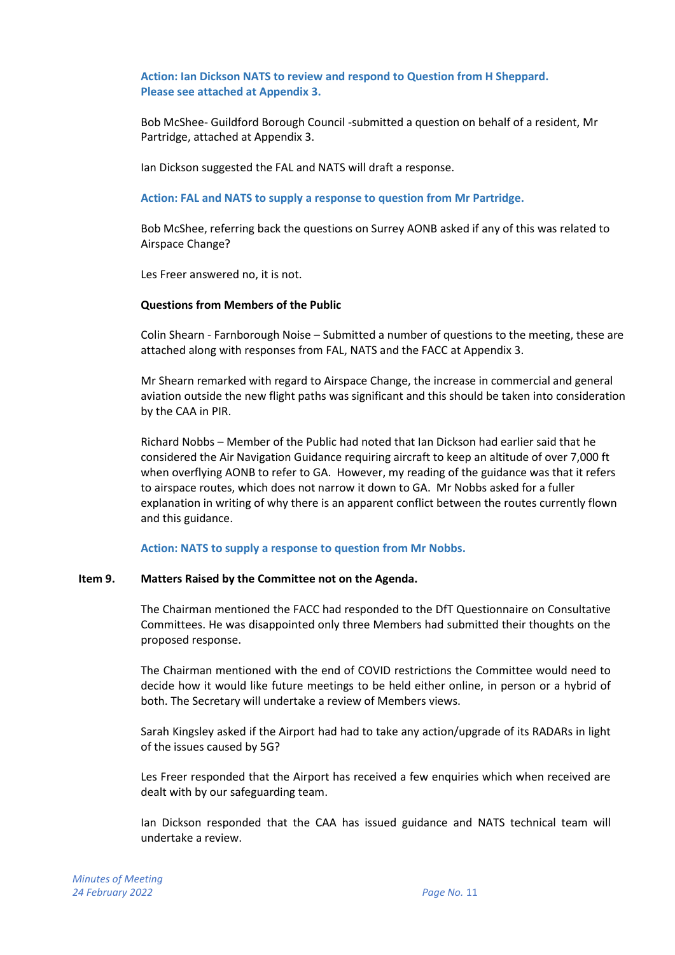### **Action: Ian Dickson NATS to review and respond to Question from H Sheppard. Please see attached at Appendix 3.**

Bob McShee- Guildford Borough Council -submitted a question on behalf of a resident, Mr Partridge, attached at Appendix 3.

Ian Dickson suggested the FAL and NATS will draft a response.

**Action: FAL and NATS to supply a response to question from Mr Partridge.**

Bob McShee, referring back the questions on Surrey AONB asked if any of this was related to Airspace Change?

Les Freer answered no, it is not.

#### **Questions from Members of the Public**

Colin Shearn - Farnborough Noise – Submitted a number of questions to the meeting, these are attached along with responses from FAL, NATS and the FACC at Appendix 3.

Mr Shearn remarked with regard to Airspace Change, the increase in commercial and general aviation outside the new flight paths was significant and this should be taken into consideration by the CAA in PIR.

Richard Nobbs – Member of the Public had noted that Ian Dickson had earlier said that he considered the Air Navigation Guidance requiring aircraft to keep an altitude of over 7,000 ft when overflying AONB to refer to GA. However, my reading of the guidance was that it refers to airspace routes, which does not narrow it down to GA. Mr Nobbs asked for a fuller explanation in writing of why there is an apparent conflict between the routes currently flown and this guidance.

**Action: NATS to supply a response to question from Mr Nobbs.**

#### **Item 9. Matters Raised by the Committee not on the Agenda.**

The Chairman mentioned the FACC had responded to the DfT Questionnaire on Consultative Committees. He was disappointed only three Members had submitted their thoughts on the proposed response.

The Chairman mentioned with the end of COVID restrictions the Committee would need to decide how it would like future meetings to be held either online, in person or a hybrid of both. The Secretary will undertake a review of Members views.

Sarah Kingsley asked if the Airport had had to take any action/upgrade of its RADARs in light of the issues caused by 5G?

Les Freer responded that the Airport has received a few enquiries which when received are dealt with by our safeguarding team.

Ian Dickson responded that the CAA has issued guidance and NATS technical team will undertake a review.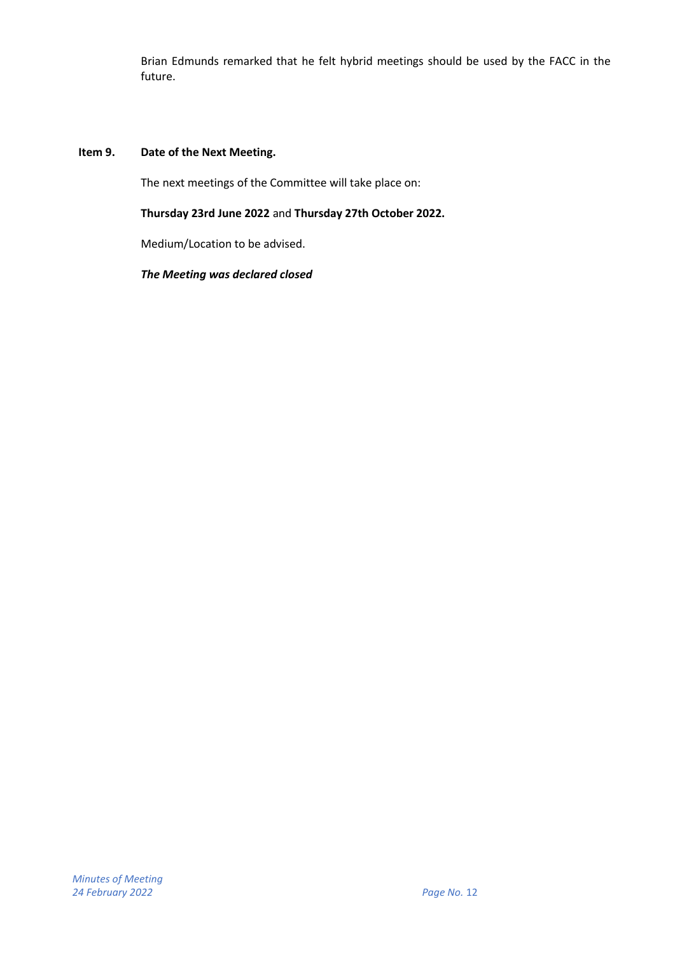Brian Edmunds remarked that he felt hybrid meetings should be used by the FACC in the future.

### **Item 9. Date of the Next Meeting.**

The next meetings of the Committee will take place on:

### **Thursday 23rd June 2022** and **Thursday 27th October 2022.**

Medium/Location to be advised.

*The Meeting was declared closed*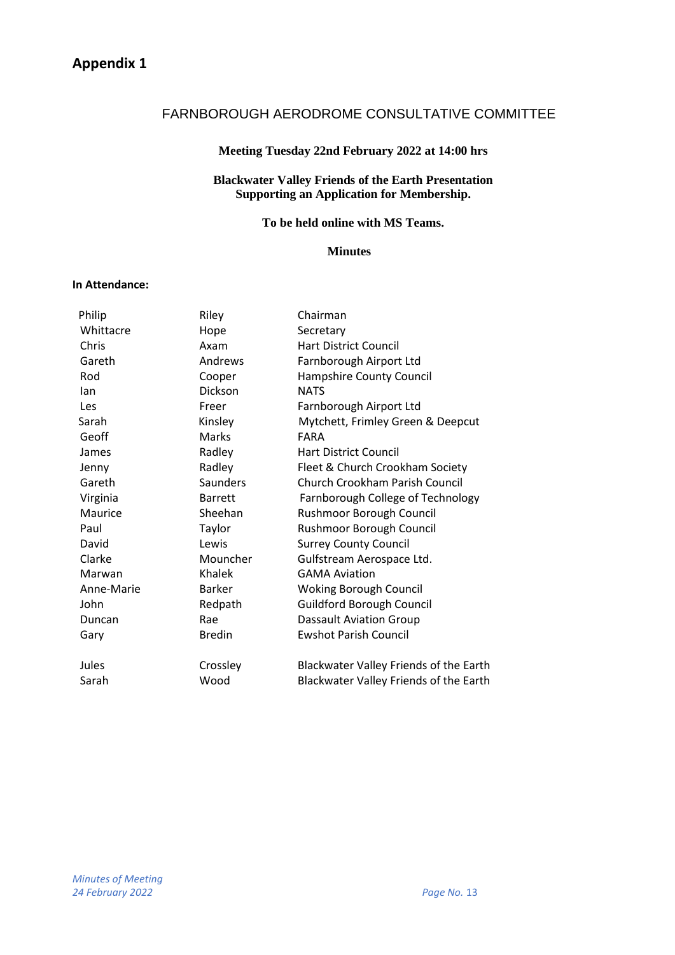# FARNBOROUGH AERODROME CONSULTATIVE COMMITTEE

### **Meeting Tuesday 22nd February 2022 at 14:00 hrs**

### **Blackwater Valley Friends of the Earth Presentation Supporting an Application for Membership.**

# **To be held online with MS Teams.**

### **Minutes**

### **In Attendance:**

| Philip     | Riley           | Chairman                               |
|------------|-----------------|----------------------------------------|
| Whittacre  | Hope            | Secretary                              |
| Chris      | Axam            | <b>Hart District Council</b>           |
| Gareth     | Andrews         | Farnborough Airport Ltd                |
| Rod        | Cooper          | Hampshire County Council               |
| lan        | Dickson         | <b>NATS</b>                            |
| Les        | Freer           | Farnborough Airport Ltd                |
| Sarah      | Kinsley         | Mytchett, Frimley Green & Deepcut      |
| Geoff      | <b>Marks</b>    | <b>FARA</b>                            |
| James      | Radley          | <b>Hart District Council</b>           |
| Jenny      | Radley          | Fleet & Church Crookham Society        |
| Gareth     | <b>Saunders</b> | Church Crookham Parish Council         |
| Virginia   | <b>Barrett</b>  | Farnborough College of Technology      |
| Maurice    | Sheehan         | Rushmoor Borough Council               |
| Paul       | Taylor          | Rushmoor Borough Council               |
| David      | Lewis           | <b>Surrey County Council</b>           |
| Clarke     | Mouncher        | Gulfstream Aerospace Ltd.              |
| Marwan     | Khalek          | <b>GAMA Aviation</b>                   |
| Anne-Marie | <b>Barker</b>   | <b>Woking Borough Council</b>          |
| John       | Redpath         | <b>Guildford Borough Council</b>       |
| Duncan     | Rae             | <b>Dassault Aviation Group</b>         |
| Gary       | <b>Bredin</b>   | <b>Ewshot Parish Council</b>           |
| Jules      | Crossley        | Blackwater Valley Friends of the Earth |
| Sarah      | Wood            | Blackwater Valley Friends of the Earth |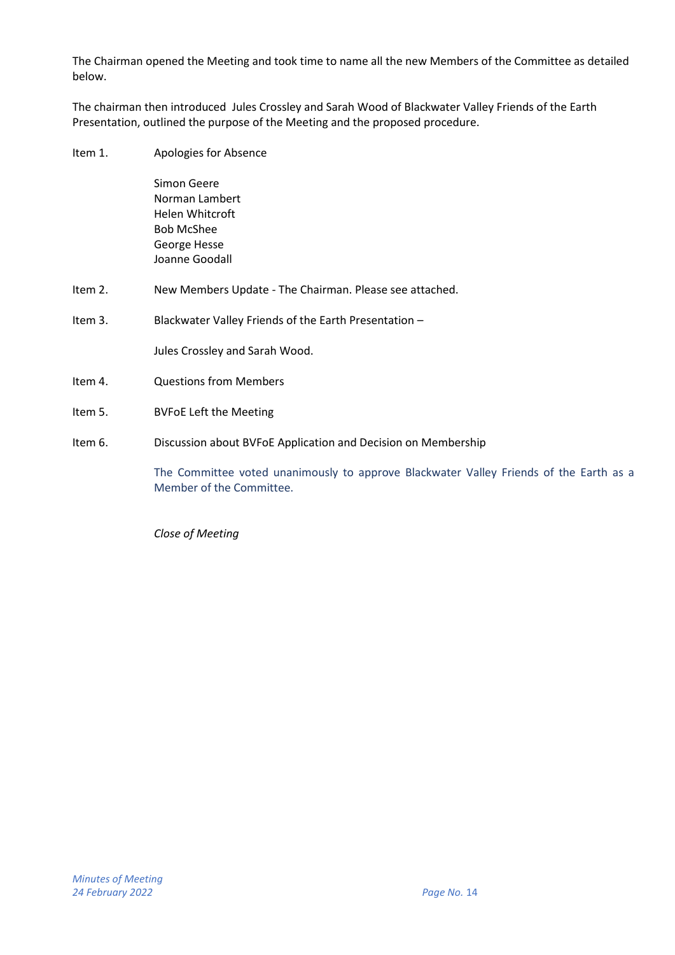The Chairman opened the Meeting and took time to name all the new Members of the Committee as detailed below.

The chairman then introduced Jules Crossley and Sarah Wood of Blackwater Valley Friends of the Earth Presentation, outlined the purpose of the Meeting and the proposed procedure.

Item 1. Apologies for Absence

Simon Geere Norman Lambert Helen Whitcroft Bob McShee George Hesse Joanne Goodall

- Item 2. New Members Update The Chairman. Please see attached.
- Item 3. Blackwater Valley Friends of the Earth Presentation –

Jules Crossley and Sarah Wood.

- Item 4. Questions from Members
- Item 5. BVFoE Left the Meeting
- Item 6. Discussion about BVFoE Application and Decision on Membership

The Committee voted unanimously to approve Blackwater Valley Friends of the Earth as a Member of the Committee.

*Close of Meeting*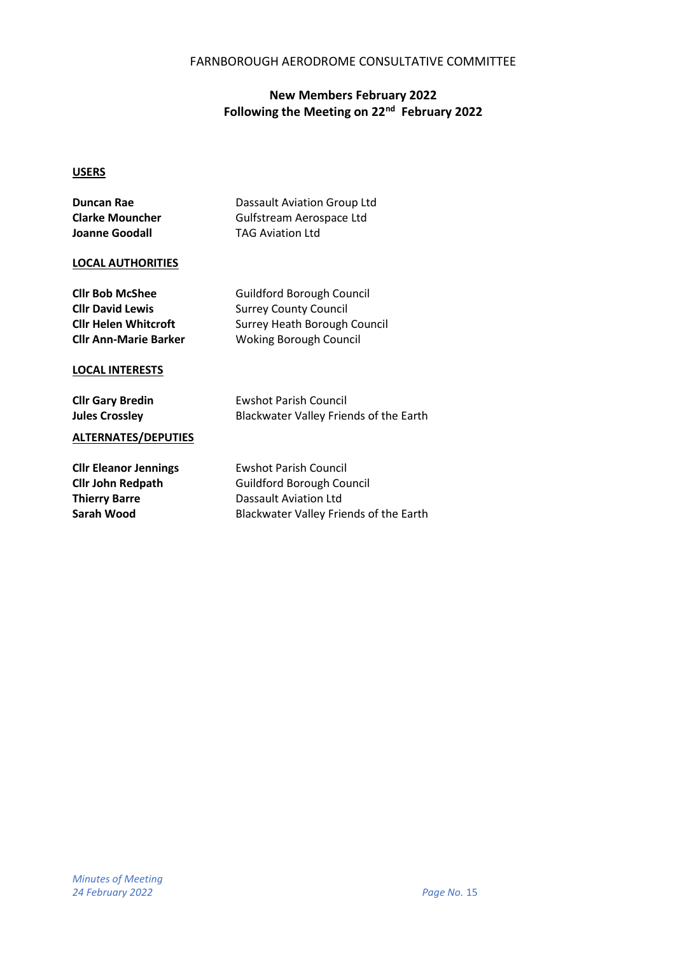### FARNBOROUGH AERODROME CONSULTATIVE COMMITTEE

# **New Members February 2022 Following the Meeting on 22nd February 2022**

### **USERS**

| <b>Duncan Rae</b>                                                                              | Dassault Aviation Group Ltd                                                                                                                |
|------------------------------------------------------------------------------------------------|--------------------------------------------------------------------------------------------------------------------------------------------|
| <b>Clarke Mouncher</b>                                                                         | Gulfstream Aerospace Ltd                                                                                                                   |
| Joanne Goodall                                                                                 | <b>TAG Aviation Ltd</b>                                                                                                                    |
| <b>LOCAL AUTHORITIES</b>                                                                       |                                                                                                                                            |
| <b>Cllr Bob McShee</b>                                                                         | <b>Guildford Borough Council</b>                                                                                                           |
| <b>Cllr David Lewis</b>                                                                        | <b>Surrey County Council</b>                                                                                                               |
| <b>Cllr Helen Whitcroft</b>                                                                    | Surrey Heath Borough Council                                                                                                               |
| <b>Cllr Ann-Marie Barker</b>                                                                   | <b>Woking Borough Council</b>                                                                                                              |
| <b>LOCAL INTERESTS</b>                                                                         | <b>Ewshot Parish Council</b>                                                                                                               |
| <b>Cllr Gary Bredin</b>                                                                        |                                                                                                                                            |
| <b>Jules Crossley</b>                                                                          | Blackwater Valley Friends of the Earth                                                                                                     |
| <b>ALTERNATES/DEPUTIES</b>                                                                     |                                                                                                                                            |
| <b>Cllr Eleanor Jennings</b><br><b>Cllr John Redpath</b><br><b>Thierry Barre</b><br>Sarah Wood | <b>Ewshot Parish Council</b><br><b>Guildford Borough Council</b><br><b>Dassault Aviation Ltd</b><br>Blackwater Valley Friends of the Earth |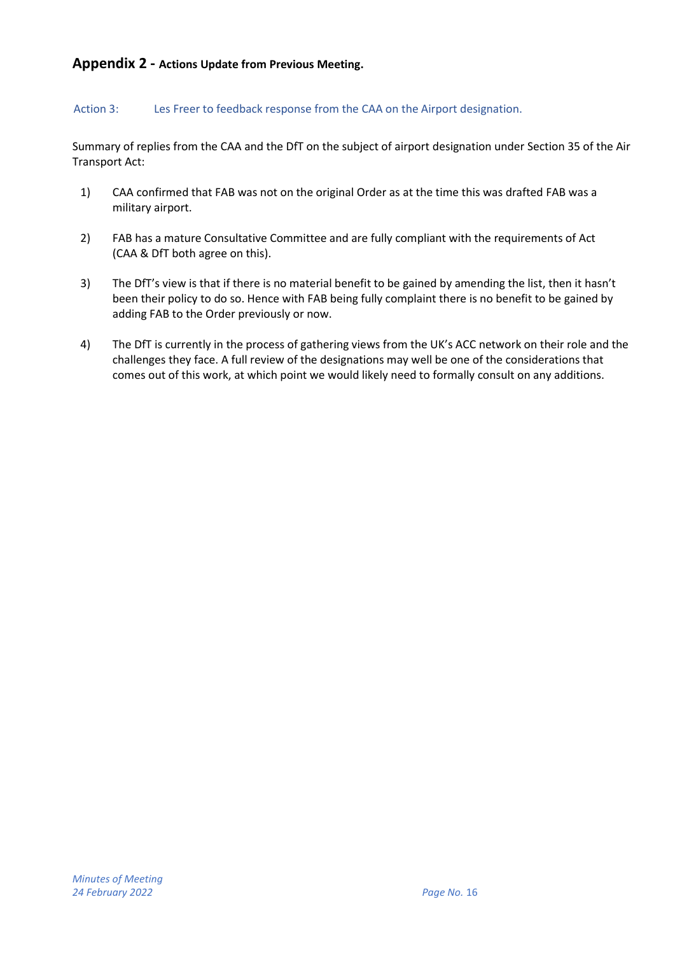# **Appendix 2 - Actions Update from Previous Meeting.**

### Action 3: Les Freer to feedback response from the CAA on the Airport designation.

Summary of replies from the CAA and the DfT on the subject of airport designation under Section 35 of the Air Transport Act:

- 1) CAA confirmed that FAB was not on the original Order as at the time this was drafted FAB was a military airport.
- 2) FAB has a mature Consultative Committee and are fully compliant with the requirements of Act (CAA & DfT both agree on this).
- 3) The DfT's view is that if there is no material benefit to be gained by amending the list, then it hasn't been their policy to do so. Hence with FAB being fully complaint there is no benefit to be gained by adding FAB to the Order previously or now.
- 4) The DfT is currently in the process of gathering views from the UK's ACC network on their role and the challenges they face. A full review of the designations may well be one of the considerations that comes out of this work, at which point we would likely need to formally consult on any additions.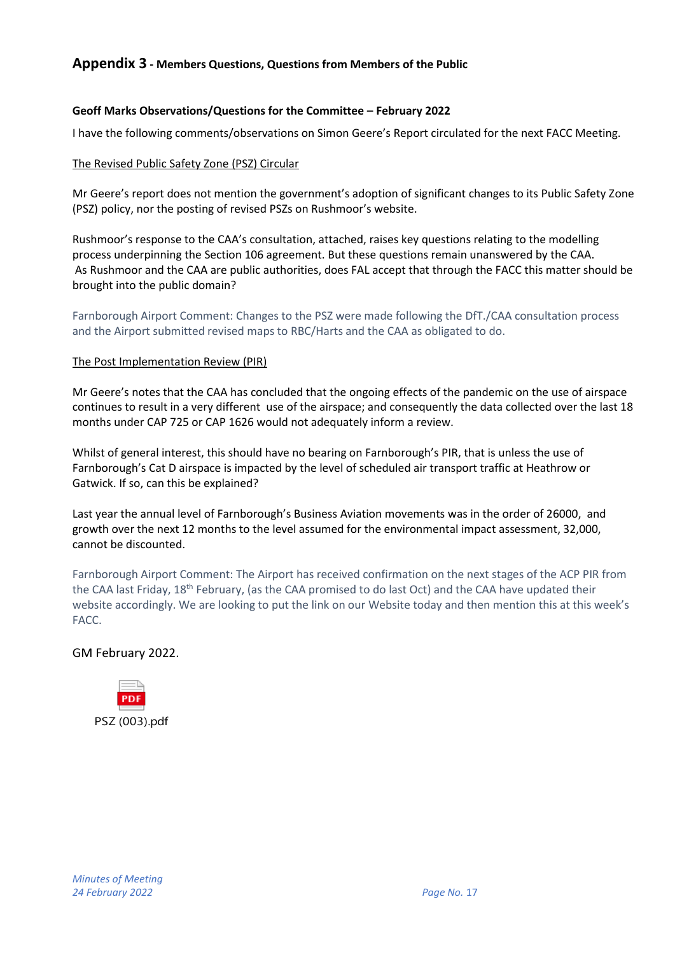### **Geoff Marks Observations/Questions for the Committee – February 2022**

I have the following comments/observations on Simon Geere's Report circulated for the next FACC Meeting.

### The Revised Public Safety Zone (PSZ) Circular

Mr Geere's report does not mention the government's adoption of significant changes to its Public Safety Zone (PSZ) policy, nor the posting of revised PSZs on Rushmoor's website.

Rushmoor's response to the CAA's consultation, attached, raises key questions relating to the modelling process underpinning the Section 106 agreement. But these questions remain unanswered by the CAA. As Rushmoor and the CAA are public authorities, does FAL accept that through the FACC this matter should be brought into the public domain?

Farnborough Airport Comment: Changes to the PSZ were made following the DfT./CAA consultation process and the Airport submitted revised maps to RBC/Harts and the CAA as obligated to do.

### The Post Implementation Review (PIR)

Mr Geere's notes that the CAA has concluded that the ongoing effects of the pandemic on the use of airspace continues to result in a very different use of the airspace; and consequently the data collected over the last 18 months under CAP 725 or CAP 1626 would not adequately inform a review.

Whilst of general interest, this should have no bearing on Farnborough's PIR, that is unless the use of Farnborough's Cat D airspace is impacted by the level of scheduled air transport traffic at Heathrow or Gatwick. If so, can this be explained?

Last year the annual level of Farnborough's Business Aviation movements was in the order of 26000, and growth over the next 12 months to the level assumed for the environmental impact assessment, 32,000, cannot be discounted.

Farnborough Airport Comment: The Airport has received confirmation on the next stages of the ACP PIR from the CAA last Friday, 18<sup>th</sup> February, (as the CAA promised to do last Oct) and the CAA have updated their website accordingly. We are looking to put the link on our Website today and then mention this at this week's FACC.

# GM February 2022.

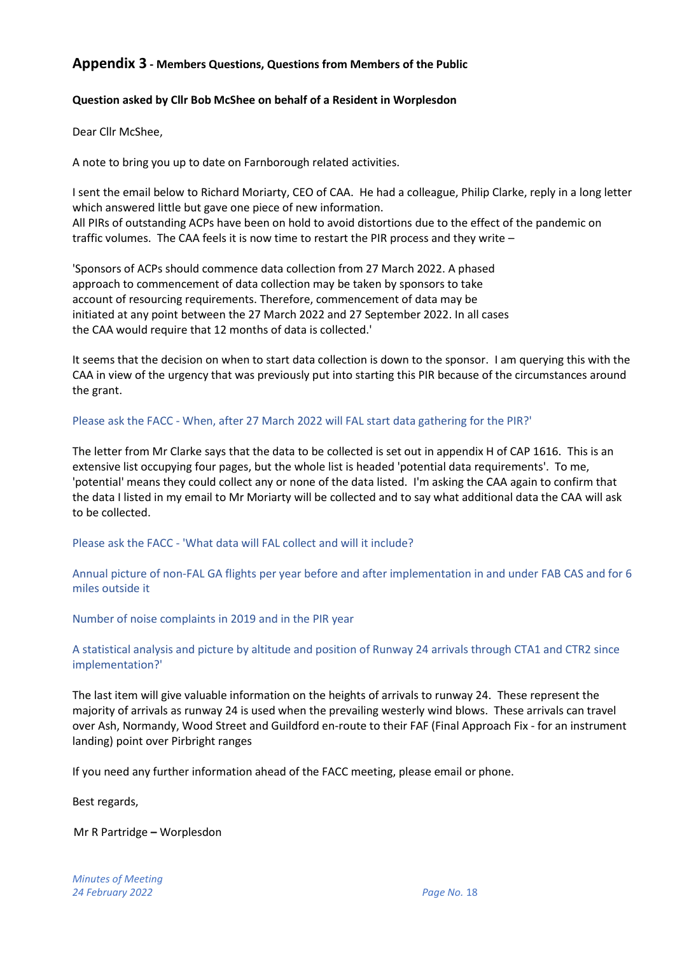### **Question asked by Cllr Bob McShee on behalf of a Resident in Worplesdon**

Dear Cllr McShee,

A note to bring you up to date on Farnborough related activities.

I sent the email below to Richard Moriarty, CEO of CAA. He had a colleague, Philip Clarke, reply in a long letter which answered little but gave one piece of new information. All PIRs of outstanding ACPs have been on hold to avoid distortions due to the effect of the pandemic on traffic volumes. The CAA feels it is now time to restart the PIR process and they write –

'Sponsors of ACPs should commence data collection from 27 March 2022. A phased approach to commencement of data collection may be taken by sponsors to take account of resourcing requirements. Therefore, commencement of data may be initiated at any point between the 27 March 2022 and 27 September 2022. In all cases the CAA would require that 12 months of data is collected.'

It seems that the decision on when to start data collection is down to the sponsor. I am querying this with the CAA in view of the urgency that was previously put into starting this PIR because of the circumstances around the grant.

### Please ask the FACC - When, after 27 March 2022 will FAL start data gathering for the PIR?'

The letter from Mr Clarke says that the data to be collected is set out in appendix H of CAP 1616. This is an extensive list occupying four pages, but the whole list is headed 'potential data requirements'. To me, 'potential' means they could collect any or none of the data listed. I'm asking the CAA again to confirm that the data I listed in my email to Mr Moriarty will be collected and to say what additional data the CAA will ask to be collected.

Please ask the FACC - 'What data will FAL collect and will it include?

Annual picture of non-FAL GA flights per year before and after implementation in and under FAB CAS and for 6 miles outside it

Number of noise complaints in 2019 and in the PIR year

A statistical analysis and picture by altitude and position of Runway 24 arrivals through CTA1 and CTR2 since implementation?'

The last item will give valuable information on the heights of arrivals to runway 24. These represent the majority of arrivals as runway 24 is used when the prevailing westerly wind blows. These arrivals can travel over Ash, Normandy, Wood Street and Guildford en-route to their FAF (Final Approach Fix - for an instrument landing) point over Pirbright ranges

If you need any further information ahead of the FACC meeting, please email or phone.

Best regards,

Mr R Partridge **–** Worplesdon

*Minutes of Meeting 24 February 2022 Page No.* 18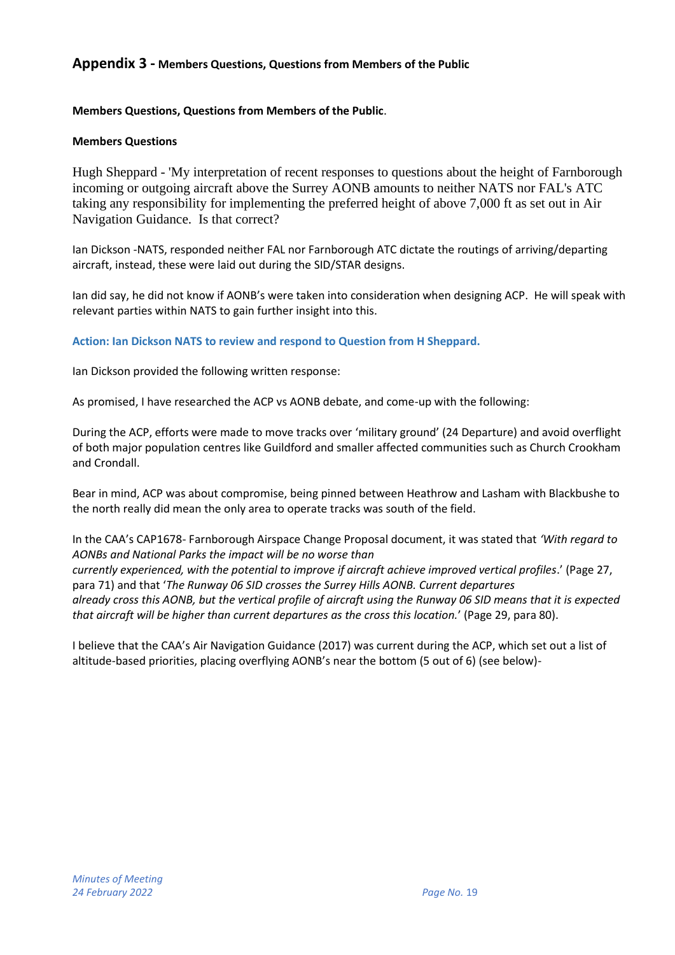### **Members Questions, Questions from Members of the Public**.

### **Members Questions**

Hugh Sheppard - 'My interpretation of recent responses to questions about the height of Farnborough incoming or outgoing aircraft above the Surrey AONB amounts to neither NATS nor FAL's ATC taking any responsibility for implementing the preferred height of above 7,000 ft as set out in Air Navigation Guidance. Is that correct?

Ian Dickson -NATS, responded neither FAL nor Farnborough ATC dictate the routings of arriving/departing aircraft, instead, these were laid out during the SID/STAR designs.

Ian did say, he did not know if AONB's were taken into consideration when designing ACP. He will speak with relevant parties within NATS to gain further insight into this.

**Action: Ian Dickson NATS to review and respond to Question from H Sheppard.**

Ian Dickson provided the following written response:

As promised, I have researched the ACP vs AONB debate, and come-up with the following:

During the ACP, efforts were made to move tracks over 'military ground' (24 Departure) and avoid overflight of both major population centres like Guildford and smaller affected communities such as Church Crookham and Crondall.

Bear in mind, ACP was about compromise, being pinned between Heathrow and Lasham with Blackbushe to the north really did mean the only area to operate tracks was south of the field.

In the CAA's CAP1678- Farnborough Airspace Change Proposal document, it was stated that *'With regard to AONBs and National Parks the impact will be no worse than*

*currently experienced, with the potential to improve if aircraft achieve improved vertical profiles*.' (Page 27, para 71) and that '*The Runway 06 SID crosses the Surrey Hills AONB. Current departures already cross this AONB, but the vertical profile of aircraft using the Runway 06 SID means that it is expected that aircraft will be higher than current departures as the cross this location.*' (Page 29, para 80).

I believe that the CAA's Air Navigation Guidance (2017) was current during the ACP, which set out a list of altitude-based priorities, placing overflying AONB's near the bottom (5 out of 6) (see below)-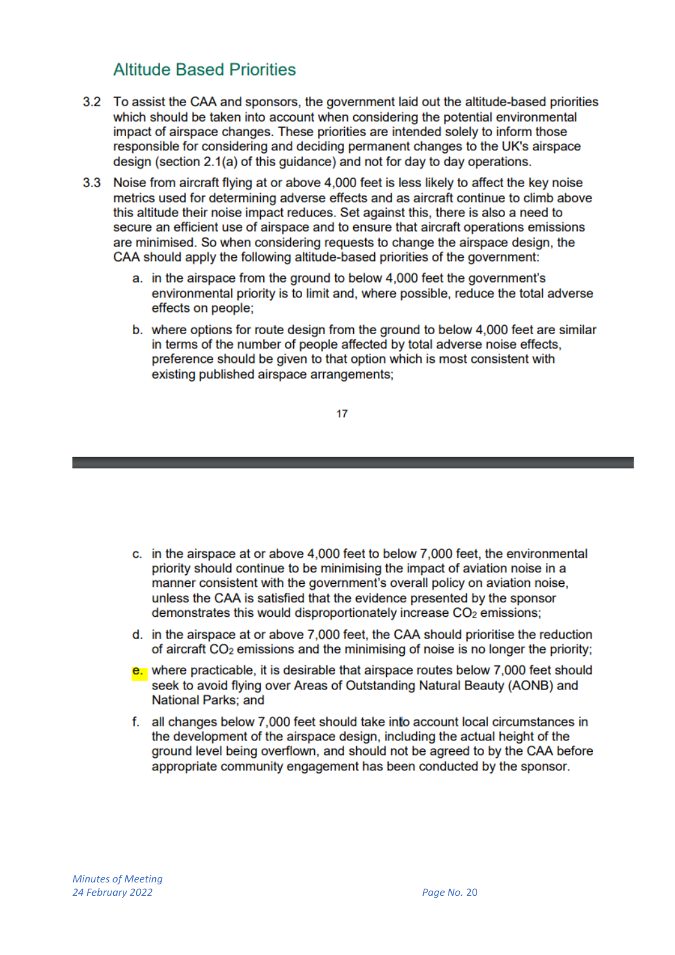# **Altitude Based Priorities**

- 3.2 To assist the CAA and sponsors, the government laid out the altitude-based priorities which should be taken into account when considering the potential environmental impact of airspace changes. These priorities are intended solely to inform those responsible for considering and deciding permanent changes to the UK's airspace design (section 2.1(a) of this guidance) and not for day to day operations.
- 3.3 Noise from aircraft flying at or above 4,000 feet is less likely to affect the key noise metrics used for determining adverse effects and as aircraft continue to climb above this altitude their noise impact reduces. Set against this, there is also a need to secure an efficient use of airspace and to ensure that aircraft operations emissions are minimised. So when considering requests to change the airspace design, the CAA should apply the following altitude-based priorities of the government:
	- a. in the airspace from the ground to below 4,000 feet the government's environmental priority is to limit and, where possible, reduce the total adverse effects on people:
	- b. where options for route design from the ground to below 4,000 feet are similar in terms of the number of people affected by total adverse noise effects. preference should be given to that option which is most consistent with existing published airspace arrangements:

 $17$ 

- c. in the airspace at or above 4,000 feet to below 7,000 feet, the environmental priority should continue to be minimising the impact of aviation noise in a manner consistent with the government's overall policy on aviation noise. unless the CAA is satisfied that the evidence presented by the sponsor demonstrates this would disproportionately increase CO<sub>2</sub> emissions;
- d. in the airspace at or above 7,000 feet, the CAA should prioritise the reduction of aircraft CO<sub>2</sub> emissions and the minimising of noise is no longer the priority;
- e. where practicable, it is desirable that airspace routes below 7,000 feet should seek to avoid flying over Areas of Outstanding Natural Beauty (AONB) and **National Parks; and**
- f. all changes below 7,000 feet should take into account local circumstances in the development of the airspace design, including the actual height of the ground level being overflown, and should not be agreed to by the CAA before appropriate community engagement has been conducted by the sponsor.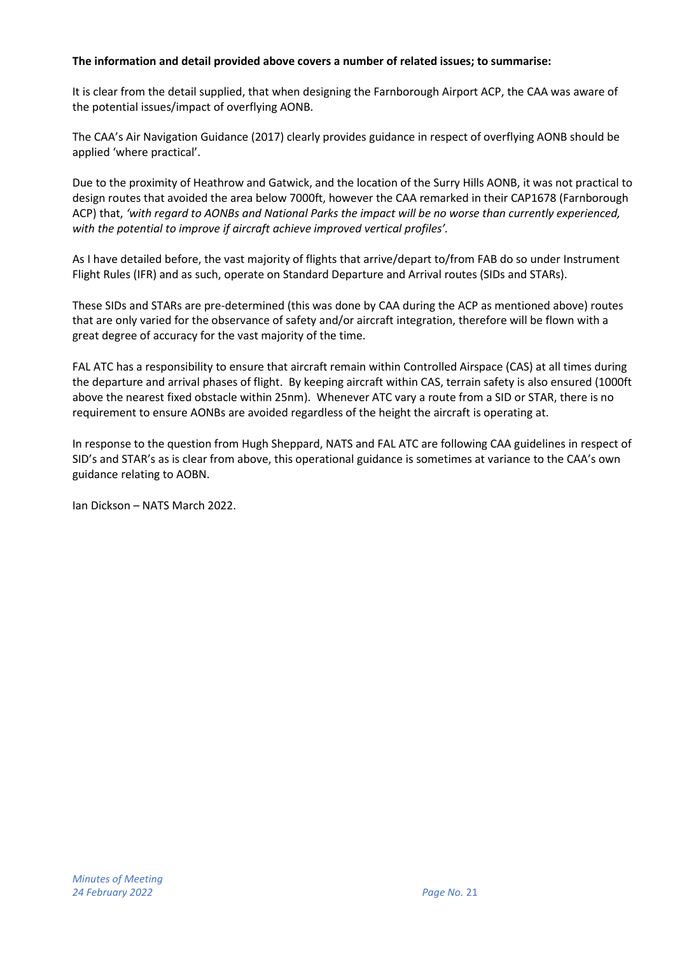### **The information and detail provided above covers a number of related issues; to summarise:**

It is clear from the detail supplied, that when designing the Farnborough Airport ACP, the CAA was aware of the potential issues/impact of overflying AONB.

The CAA's Air Navigation Guidance (2017) clearly provides guidance in respect of overflying AONB should be applied 'where practical'.

Due to the proximity of Heathrow and Gatwick, and the location of the Surry Hills AONB, it was not practical to design routes that avoided the area below 7000ft, however the CAA remarked in their CAP1678 (Farnborough ACP) that, *'with regard to AONBs and National Parks the impact will be no worse than currently experienced, with the potential to improve if aircraft achieve improved vertical profiles'.*

As I have detailed before, the vast majority of flights that arrive/depart to/from FAB do so under Instrument Flight Rules (IFR) and as such, operate on Standard Departure and Arrival routes (SIDs and STARs).

These SIDs and STARs are pre-determined (this was done by CAA during the ACP as mentioned above) routes that are only varied for the observance of safety and/or aircraft integration, therefore will be flown with a great degree of accuracy for the vast majority of the time.

FAL ATC has a responsibility to ensure that aircraft remain within Controlled Airspace (CAS) at all times during the departure and arrival phases of flight. By keeping aircraft within CAS, terrain safety is also ensured (1000ft above the nearest fixed obstacle within 25nm). Whenever ATC vary a route from a SID or STAR, there is no requirement to ensure AONBs are avoided regardless of the height the aircraft is operating at.

In response to the question from Hugh Sheppard, NATS and FAL ATC are following CAA guidelines in respect of SID's and STAR's as is clear from above, this operational guidance is sometimes at variance to the CAA's own guidance relating to AOBN.

Ian Dickson – NATS March 2022.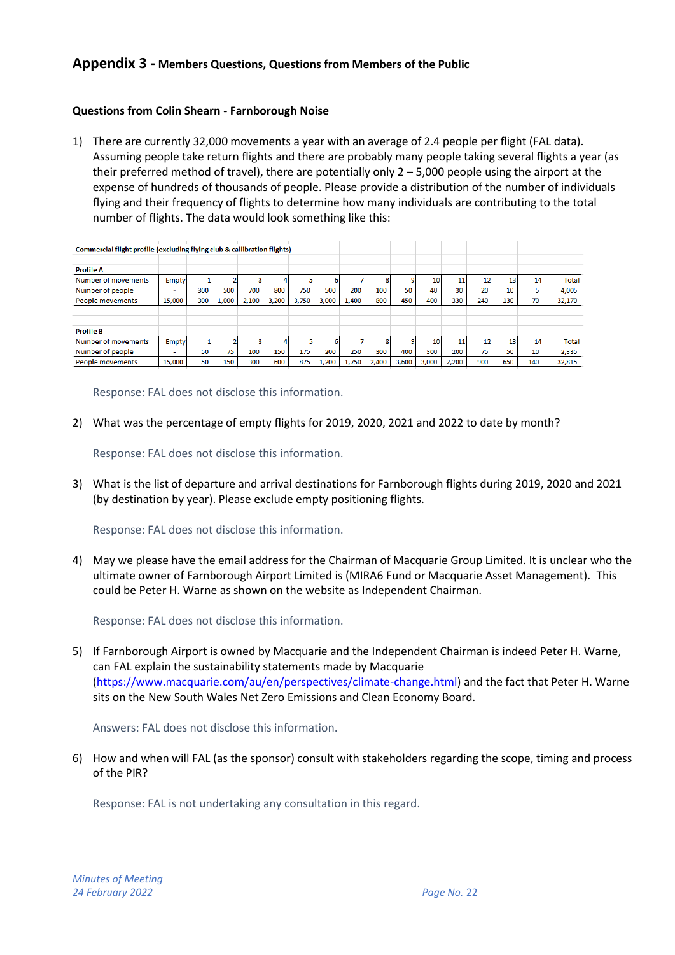### **Questions from Colin Shearn - Farnborough Noise**

1) There are currently 32,000 movements a year with an average of 2.4 people per flight (FAL data). Assuming people take return flights and there are probably many people taking several flights a year (as their preferred method of travel), there are potentially only  $2 - 5,000$  people using the airport at the expense of hundreds of thousands of people. Please provide a distribution of the number of individuals flying and their frequency of flights to determine how many individuals are contributing to the total number of flights. The data would look something like this:

| Commercial flight profile (excluding flying club & callibration flights) |              |     |       |       |       |       |       |       |       |       |       |       |     |     |     |              |
|--------------------------------------------------------------------------|--------------|-----|-------|-------|-------|-------|-------|-------|-------|-------|-------|-------|-----|-----|-----|--------------|
|                                                                          |              |     |       |       |       |       |       |       |       |       |       |       |     |     |     |              |
| <b>Profile A</b>                                                         |              |     |       |       |       |       |       |       |       |       |       |       |     |     |     |              |
| Number of movements                                                      | <b>Empty</b> |     |       |       |       |       |       |       |       |       | 10    | 11    | 12  | 13  | 14  | <b>Total</b> |
| Number of people                                                         |              | 300 | 500   | 700   | 800   | 750   | 500   | 200   | 100   | 50    | 40    | 30    | 20  | 10  |     | 4,005        |
| People movements                                                         | 15,000       | 300 | 1,000 | 2,100 | 3,200 | 3,750 | 3,000 | 1,400 | 800   | 450   | 400   | 330   | 240 | 130 | 70  | 32,170       |
|                                                                          |              |     |       |       |       |       |       |       |       |       |       |       |     |     |     |              |
|                                                                          |              |     |       |       |       |       |       |       |       |       |       |       |     |     |     |              |
| <b>Profile B</b>                                                         |              |     |       |       |       |       |       |       |       |       |       |       |     |     |     |              |
| Number of movements                                                      | Empty        |     |       |       |       |       |       |       |       |       | 10    | 11    | 12  | 13  | 14  | <b>Total</b> |
| Number of people                                                         |              | 50  | 75    | 100   | 150   | 175   | 200   | 250   | 300   | 400   | 300   | 200   | 75  | 50  | 10  | 2,335        |
| People movements                                                         | 15,000       | 50  | 150   | 300   | 600   | 875   | 1,200 | 1,750 | 2,400 | 3,600 | 3,000 | 2,200 | 900 | 650 | 140 | 32,815       |

Response: FAL does not disclose this information.

2) What was the percentage of empty flights for 2019, 2020, 2021 and 2022 to date by month?

Response: FAL does not disclose this information.

3) What is the list of departure and arrival destinations for Farnborough flights during 2019, 2020 and 2021 (by destination by year). Please exclude empty positioning flights.

Response: FAL does not disclose this information.

4) May we please have the email address for the Chairman of Macquarie Group Limited. It is unclear who the ultimate owner of Farnborough Airport Limited is (MIRA6 Fund or Macquarie Asset Management). This could be Peter H. Warne as shown on the website as Independent Chairman.

Response: FAL does not disclose this information.

5) If Farnborough Airport is owned by Macquarie and the Independent Chairman is indeed Peter H. Warne, can FAL explain the sustainability statements made by Macquarie [\(https://www.macquarie.com/au/en/perspectives/climate-change.html\)](https://www.macquarie.com/au/en/perspectives/climate-change.html) and the fact that Peter H. Warne sits on the New South Wales Net Zero Emissions and Clean Economy Board.

Answers: FAL does not disclose this information.

6) How and when will FAL (as the sponsor) consult with stakeholders regarding the scope, timing and process of the PIR?

Response: FAL is not undertaking any consultation in this regard.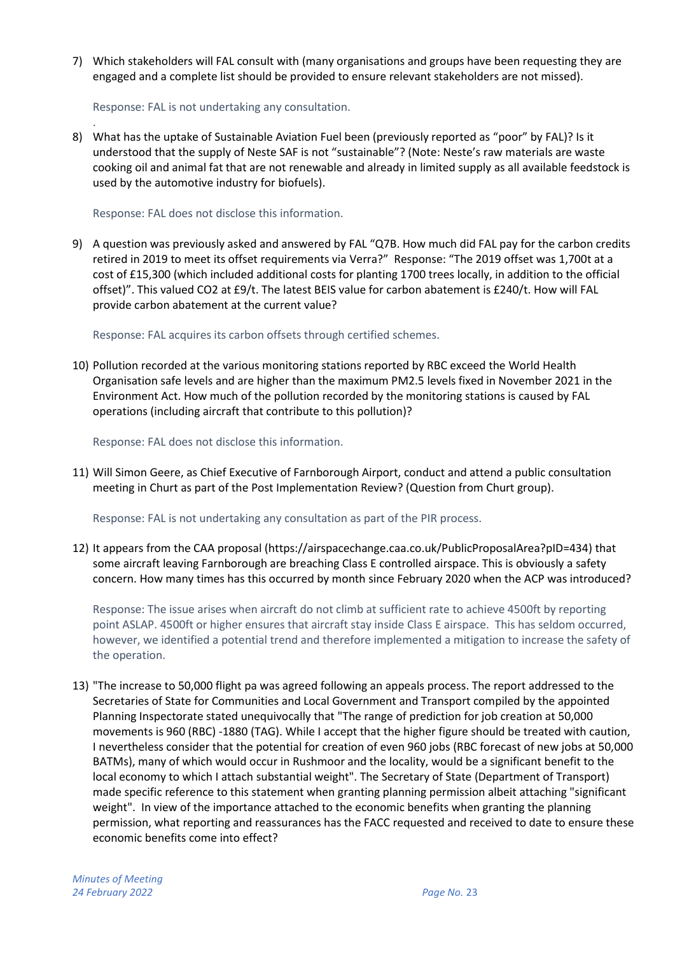7) Which stakeholders will FAL consult with (many organisations and groups have been requesting they are engaged and a complete list should be provided to ensure relevant stakeholders are not missed).

Response: FAL is not undertaking any consultation.

. 8) What has the uptake of Sustainable Aviation Fuel been (previously reported as "poor" by FAL)? Is it understood that the supply of Neste SAF is not "sustainable"? (Note: Neste's raw materials are waste cooking oil and animal fat that are not renewable and already in limited supply as all available feedstock is used by the automotive industry for biofuels).

Response: FAL does not disclose this information.

9) A question was previously asked and answered by FAL "Q7B. How much did FAL pay for the carbon credits retired in 2019 to meet its offset requirements via Verra?" Response: "The 2019 offset was 1,700t at a cost of £15,300 (which included additional costs for planting 1700 trees locally, in addition to the official offset)". This valued CO2 at £9/t. The latest BEIS value for carbon abatement is £240/t. How will FAL provide carbon abatement at the current value?

Response: FAL acquires its carbon offsets through certified schemes.

10) Pollution recorded at the various monitoring stations reported by RBC exceed the World Health Organisation safe levels and are higher than the maximum PM2.5 levels fixed in November 2021 in the Environment Act. How much of the pollution recorded by the monitoring stations is caused by FAL operations (including aircraft that contribute to this pollution)?

Response: FAL does not disclose this information.

11) Will Simon Geere, as Chief Executive of Farnborough Airport, conduct and attend a public consultation meeting in Churt as part of the Post Implementation Review? (Question from Churt group).

Response: FAL is not undertaking any consultation as part of the PIR process.

12) It appears from the CAA proposal [\(https://airspacechange.caa.co.uk/PublicProposalArea?pID=434\)](https://airspacechange.caa.co.uk/PublicProposalArea?pID=434) that some aircraft leaving Farnborough are breaching Class E controlled airspace. This is obviously a safety concern. How many times has this occurred by month since February 2020 when the ACP was introduced?

Response: The issue arises when aircraft do not climb at sufficient rate to achieve 4500ft by reporting point ASLAP. 4500ft or higher ensures that aircraft stay inside Class E airspace. This has seldom occurred, however, we identified a potential trend and therefore implemented a mitigation to increase the safety of the operation.

13) "The increase to 50,000 flight pa was agreed following an appeals process. The report addressed to the Secretaries of State for Communities and Local Government and Transport compiled by the appointed Planning Inspectorate stated unequivocally that "The range of prediction for job creation at 50,000 movements is 960 (RBC) -1880 (TAG). While I accept that the higher figure should be treated with caution, I nevertheless consider that the potential for creation of even 960 jobs (RBC forecast of new jobs at 50,000 BATMs), many of which would occur in Rushmoor and the locality, would be a significant benefit to the local economy to which I attach substantial weight". The Secretary of State (Department of Transport) made specific reference to this statement when granting planning permission albeit attaching "significant weight". In view of the importance attached to the economic benefits when granting the planning permission, what reporting and reassurances has the FACC requested and received to date to ensure these economic benefits come into effect?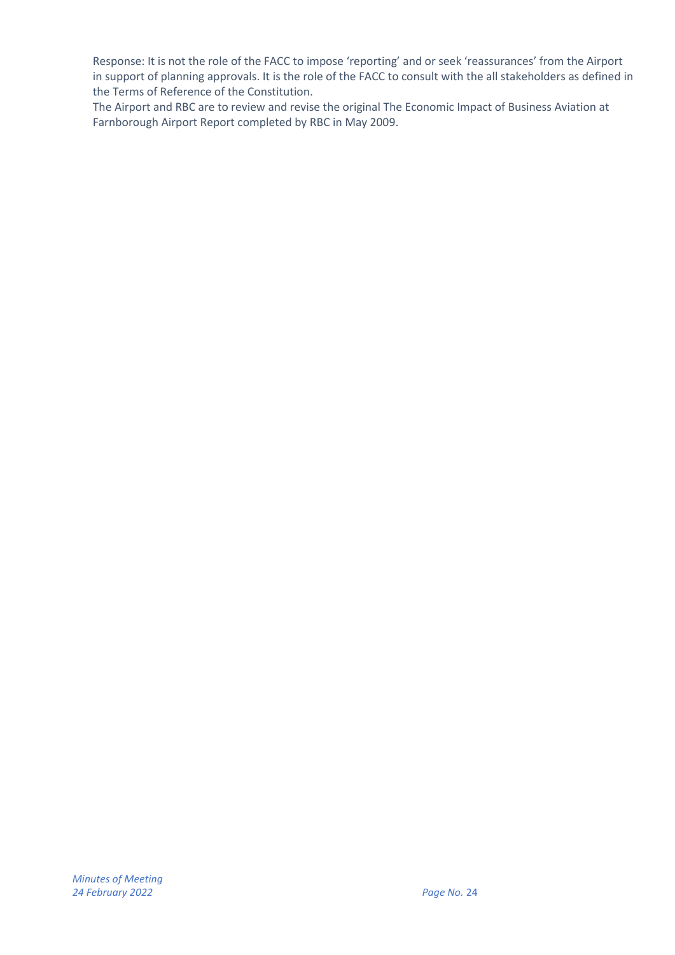Response: It is not the role of the FACC to impose 'reporting' and or seek 'reassurances' from the Airport in support of planning approvals. It is the role of the FACC to consult with the all stakeholders as defined in the Terms of Reference of the Constitution.

The Airport and RBC are to review and revise the original The Economic Impact of Business Aviation at Farnborough Airport Report completed by RBC in May 2009.